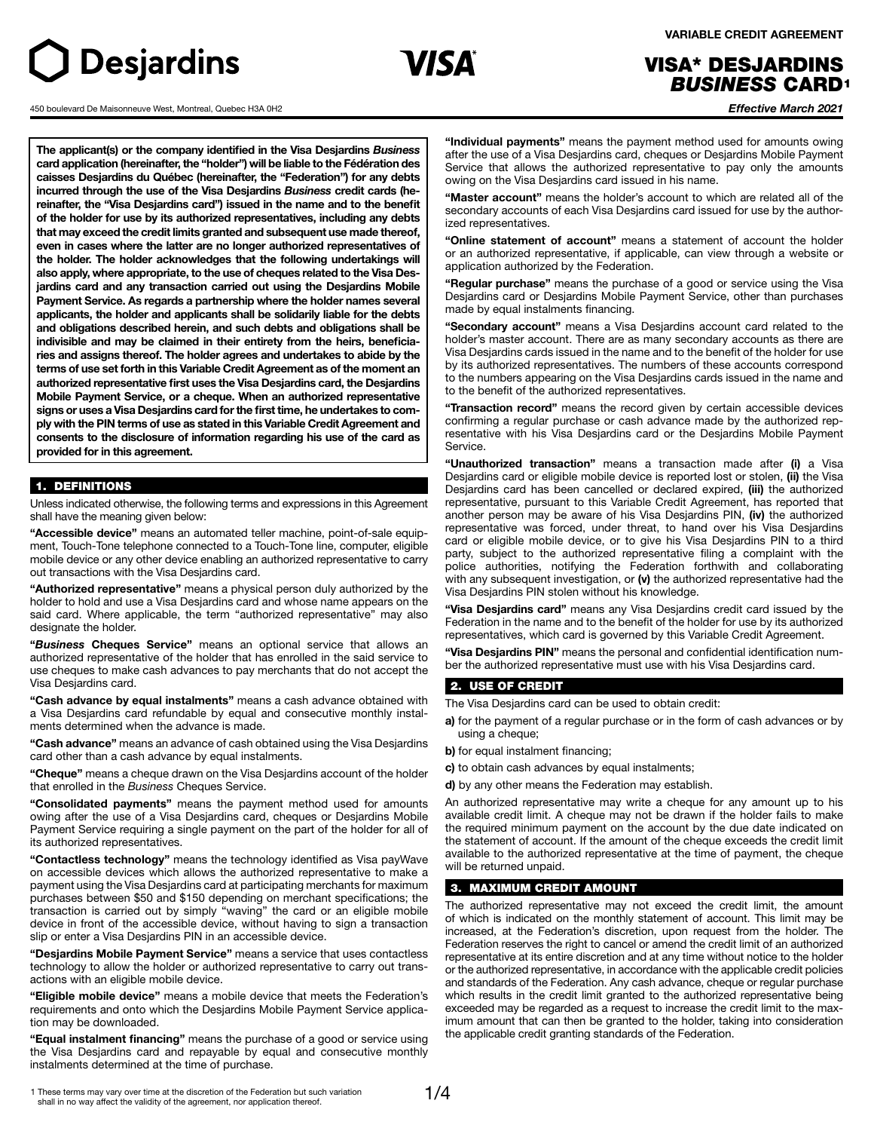# **Desjardins**

450 boulevard De Maisonneuve West, Montreal, Quebec H3A 0H2



 **VARIABLE CREDIT AGREEMENT**

# VISA\* DESJARDINS *BUSINESS* CARD 1

*Effective March 2021*

**The applicant(s) or the company identified in the Visa Desjardins** *Business* **card application (hereinafter, the "holder") will be liable to the Fédération des caisses Desjardins du Québec (hereinafter, the "Federation") for any debts incurred through the use of the Visa Desjardins** *Business* **credit cards (hereinafter, the "Visa Desjardins card") issued in the name and to the benefit of the holder for use by its authorized representatives, including any debts that may exceed the credit limits granted and subsequent use made thereof, even in cases where the latter are no longer authorized representatives of the holder. The holder acknowledges that the following undertakings will also apply, where appropriate, to the use of cheques related to the Visa Desjardins card and any transaction carried out using the Desjardins Mobile Payment Service. As regards a partnership where the holder names several applicants, the holder and applicants shall be solidarily liable for the debts and obligations described herein, and such debts and obligations shall be indivisible and may be claimed in their entirety from the heirs, beneficiaries and assigns thereof. The holder agrees and undertakes to abide by the terms of use set forth in this Variable Credit Agreement as of the moment an authorized representative first uses the Visa Desjardins card, the Desjardins Mobile Payment Service, or a cheque. When an authorized representative signs or uses a Visa Desjardins card for the first time, he undertakes to comply with the PIN terms of use as stated in this Variable Credit Agreement and consents to the disclosure of information regarding his use of the card as provided for in this agreement.**

#### 1. DEFINITIONS

Unless indicated otherwise, the following terms and expressions in this Agreement shall have the meaning given below:

**"Accessible device"** means an automated teller machine, point-of-sale equipment, Touch-Tone telephone connected to a Touch-Tone line, computer, eligible mobile device or any other device enabling an authorized representative to carry out transactions with the Visa Desjardins card.

**"Authorized representative"** means a physical person duly authorized by the holder to hold and use a Visa Desjardins card and whose name appears on the said card. Where applicable, the term "authorized representative" may also designate the holder.

**"***Business* **Cheques Service"** means an optional service that allows an authorized representative of the holder that has enrolled in the said service to use cheques to make cash advances to pay merchants that do not accept the Visa Desjardins card.

**"Cash advance by equal instalments"** means a cash advance obtained with a Visa Desjardins card refundable by equal and consecutive monthly instalments determined when the advance is made.

**"Cash advance"** means an advance of cash obtained using the Visa Desjardins card other than a cash advance by equal instalments.

**"Cheque"** means a cheque drawn on the Visa Desjardins account of the holder that enrolled in the *Business* Cheques Service.

**"Consolidated payments"** means the payment method used for amounts owing after the use of a Visa Desjardins card, cheques or Desjardins Mobile Payment Service requiring a single payment on the part of the holder for all of its authorized representatives.

**"Contactless technology"** means the technology identified as Visa payWave on accessible devices which allows the authorized representative to make a payment using the Visa Desjardins card at participating merchants for maximum purchases between \$50 and \$150 depending on merchant specifications; the transaction is carried out by simply "waving" the card or an eligible mobile device in front of the accessible device, without having to sign a transaction slip or enter a Visa Desjardins PIN in an accessible device.

**"Desjardins Mobile Payment Service"** means a service that uses contactless technology to allow the holder or authorized representative to carry out transactions with an eligible mobile device.

**"Eligible mobile device"** means a mobile device that meets the Federation's requirements and onto which the Desjardins Mobile Payment Service application may be downloaded.

**"Equal instalment financing"** means the purchase of a good or service using the Visa Desjardins card and repayable by equal and consecutive monthly instalments determined at the time of purchase.

**"Individual payments"** means the payment method used for amounts owing after the use of a Visa Desjardins card, cheques or Desjardins Mobile Payment Service that allows the authorized representative to pay only the amounts owing on the Visa Desjardins card issued in his name.

**"Master account"** means the holder's account to which are related all of the secondary accounts of each Visa Desjardins card issued for use by the authorized representatives.

**"Online statement of account"** means a statement of account the holder or an authorized representative, if applicable, can view through a website or application authorized by the Federation.

**"Regular purchase"** means the purchase of a good or service using the Visa Desjardins card or Desjardins Mobile Payment Service, other than purchases made by equal instalments financing.

**"Secondary account"** means a Visa Desjardins account card related to the holder's master account. There are as many secondary accounts as there are Visa Desjardins cards issued in the name and to the benefit of the holder for use by its authorized representatives. The numbers of these accounts correspond to the numbers appearing on the Visa Desjardins cards issued in the name and to the benefit of the authorized representatives.

**"Transaction record"** means the record given by certain accessible devices confirming a regular purchase or cash advance made by the authorized representative with his Visa Desjardins card or the Desjardins Mobile Payment Service.

**"Unauthorized transaction"** means a transaction made after **(i)** a Visa Desjardins card or eligible mobile device is reported lost or stolen, **(ii)** the Visa Desjardins card has been cancelled or declared expired, **(iii)** the authorized representative, pursuant to this Variable Credit Agreement, has reported that another person may be aware of his Visa Desjardins PIN, **(iv)** the authorized representative was forced, under threat, to hand over his Visa Desjardins card or eligible mobile device, or to give his Visa Desjardins PIN to a third party, subject to the authorized representative filing a complaint with the police authorities, notifying the Federation forthwith and collaborating with any subsequent investigation, or **(v)** the authorized representative had the Visa Desjardins PIN stolen without his knowledge.

**"Visa Desjardins card"** means any Visa Desjardins credit card issued by the Federation in the name and to the benefit of the holder for use by its authorized representatives, which card is governed by this Variable Credit Agreement.

**"Visa Desjardins PIN"** means the personal and confidential identification number the authorized representative must use with his Visa Desjardins card.

#### 2. USE OF CREDIT

The Visa Desjardins card can be used to obtain credit:

**a)** for the payment of a regular purchase or in the form of cash advances or by using a cheque;

**b)** for equal instalment financing;

**c)** to obtain cash advances by equal instalments;

**d)** by any other means the Federation may establish.

An authorized representative may write a cheque for any amount up to his available credit limit. A cheque may not be drawn if the holder fails to make the required minimum payment on the account by the due date indicated on the statement of account. If the amount of the cheque exceeds the credit limit available to the authorized representative at the time of payment, the cheque will be returned unpaid.

#### 3. MAXIMUM CREDIT AMOUNT

The authorized representative may not exceed the credit limit, the amount of which is indicated on the monthly statement of account. This limit may be increased, at the Federation's discretion, upon request from the holder. The Federation reserves the right to cancel or amend the credit limit of an authorized representative at its entire discretion and at any time without notice to the holder or the authorized representative, in accordance with the applicable credit policies and standards of the Federation. Any cash advance, cheque or regular purchase which results in the credit limit granted to the authorized representative being exceeded may be regarded as a request to increase the credit limit to the maximum amount that can then be granted to the holder, taking into consideration the applicable credit granting standards of the Federation.

1 These terms may vary over time at the discretion of the Federation but such variation shall in no way affect the validity of the agreement, nor application thereof.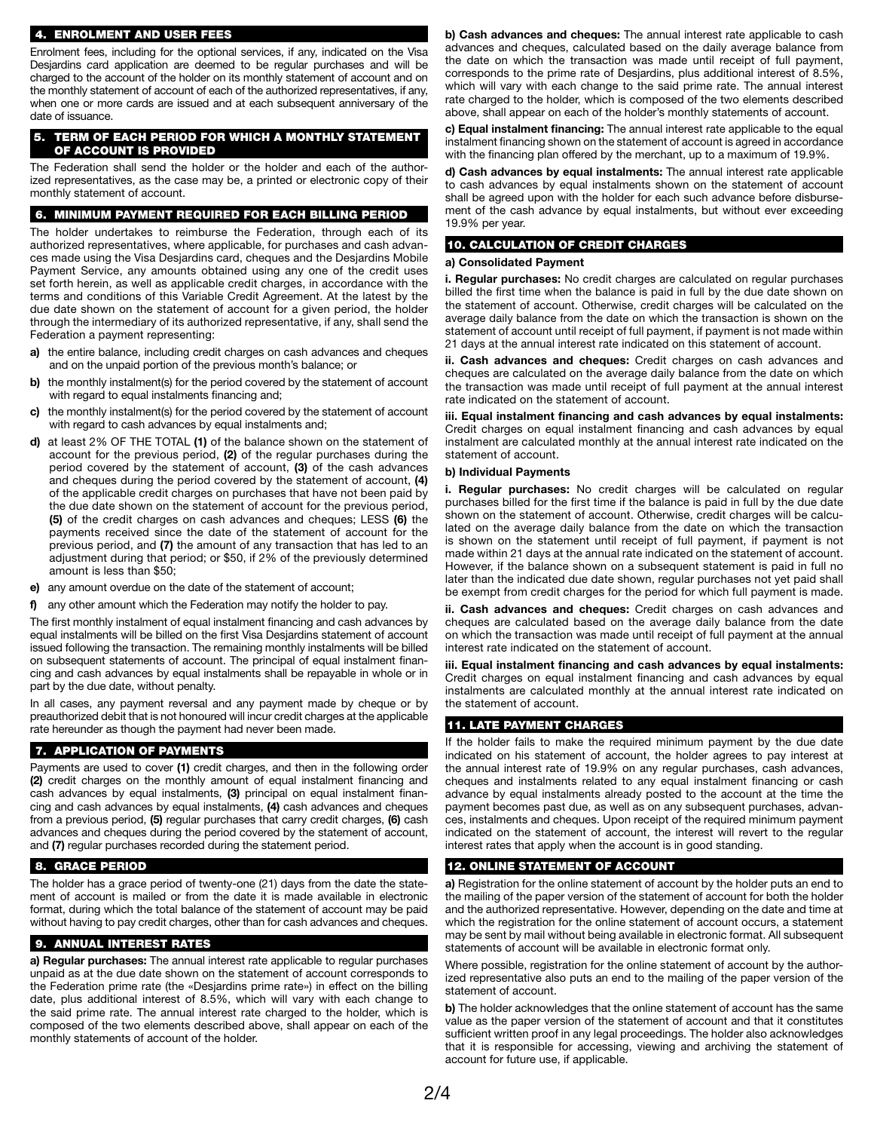#### 4. ENROLMENT AND USER FEES

Enrolment fees, including for the optional services, if any, indicated on the Visa Desjardins *c*ard application are deemed to be regular purchases and will be charged to the account of the holder on its monthly statement of account and on the monthly statement of account of each of the authorized representatives, if any, when one or more cards are issued and at each subsequent anniversary of the date of issuance.

#### 5. TERM OF EACH PERIOD FOR WHICH A MONTHLY STATEMENT OF ACCOUNT IS PROVIDED

The Federation shall send the holder or the holder and each of the authorized representatives, as the case may be, a printed or electronic copy of their monthly statement of account.

#### 6. MINIMUM PAYMENT REQUIRED FOR EACH BILLING PERIOD

The holder undertakes to reimburse the Federation, through each of its authorized representatives, where applicable, for purchases and cash advances made using the Visa Desjardins card, cheques and the Desjardins Mobile Payment Service, any amounts obtained using any one of the credit uses set forth herein, as well as applicable credit charges, in accordance with the terms and conditions of this Variable Credit Agreement. At the latest by the due date shown on the statement of account for a given period, the holder through the intermediary of its authorized representative, if any, shall send the Federation a payment representing:

- **a)** the entire balance, including credit charges on cash advances and cheques and on the unpaid portion of the previous month's balance; or
- **b)** the monthly instalment(s) for the period covered by the statement of account with regard to equal instalments financing and;
- **c)** the monthly instalment(s) for the period covered by the statement of account with regard to cash advances by equal instalments and;
- **d)** at least 2% OF THE TOTAL **(1)** of the balance shown on the statement of account for the previous period, **(2)** of the regular purchases during the period covered by the statement of account, **(3)** of the cash advances and cheques during the period covered by the statement of account, **(4)** of the applicable credit charges on purchases that have not been paid by the due date shown on the statement of account for the previous period, **(5)** of the credit charges on cash advances and cheques; LESS **(6)** the payments received since the date of the statement of account for the previous period, and **(7)** the amount of any transaction that has led to an adjustment during that period; or \$50, if 2% of the previously determined amount is less than \$50;
- **e)** any amount overdue on the date of the statement of account;
- **f)** any other amount which the Federation may notify the holder to pay.

The first monthly instalment of equal instalment financing and cash advances by equal instalments will be billed on the first Visa Desjardins statement of account issued following the transaction. The remaining monthly instalments will be billed on subsequent statements of account. The principal of equal instalment financing and cash advances by equal instalments shall be repayable in whole or in part by the due date, without penalty.

In all cases, any payment reversal and any payment made by cheque or by preauthorized debit that is not honoured will incur credit charges at the applicable rate hereunder as though the payment had never been made.

#### 7. APPLICATION OF PAYMENTS

Payments are used to cover **(1)** credit charges, and then in the following order **(2)** credit charges on the monthly amount of equal instalment financing and cash advances by equal instalments, **(3)** principal on equal instalment financing and cash advances by equal instalments, **(4)** cash advances and cheques from a previous period, **(5)** regular purchases that carry credit charges, **(6)** cash advances and cheques during the period covered by the statement of account, and **(7)** regular purchases recorded during the statement period.

#### 8. GRACE PERIOD

The holder has a grace period of twenty-one (21) days from the date the statement of account is mailed or from the date it is made available in electronic format, during which the total balance of the statement of account may be paid without having to pay credit charges, other than for cash advances and cheques.

#### 9. ANNUAL INTEREST RATES

**a) Regular purchases:** The annual interest rate applicable to regular purchases unpaid as at the due date shown on the statement of account corresponds to the Federation prime rate (the «Desjardins prime rate») in effect on the billing date, plus additional interest of 8.5%, which will vary with each change to the said prime rate. The annual interest rate charged to the holder, which is composed of the two elements described above, shall appear on each of the monthly statements of account of the holder.

**b) Cash advances and cheques:** The annual interest rate applicable to cash advances and cheques, calculated based on the daily average balance from the date on which the transaction was made until receipt of full payment, corresponds to the prime rate of Desjardins, plus additional interest of 8.5%, which will vary with each change to the said prime rate. The annual interest rate charged to the holder, which is composed of the two elements described above, shall appear on each of the holder's monthly statements of account.

**c) Equal instalment financing:** The annual interest rate applicable to the equal instalment financing shown on the statement of account is agreed in accordance with the financing plan offered by the merchant, up to a maximum of 19.9%.

**d) Cash advances by equal instalments:** The annual interest rate applicable to cash advances by equal instalments shown on the statement of account shall be agreed upon with the holder for each such advance before disbursement of the cash advance by equal instalments, but without ever exceeding 19.9% per year.

#### 10. CALCULATION OF CREDIT CHARGES

#### **a) Consolidated Payment**

**i. Regular purchases:** No credit charges are calculated on regular purchases billed the first time when the balance is paid in full by the due date shown on the statement of account. Otherwise, credit charges will be calculated on the average daily balance from the date on which the transaction is shown on the statement of account until receipt of full payment, if payment is not made within 21 days at the annual interest rate indicated on this statement of account.

**ii. Cash advances and cheques:** Credit charges on cash advances and cheques are calculated on the average daily balance from the date on which the transaction was made until receipt of full payment at the annual interest rate indicated on the statement of account.

**iii. Equal instalment financing and cash advances by equal instalments:** Credit charges on equal instalment financing and cash advances by equal instalment are calculated monthly at the annual interest rate indicated on the statement of account.

#### **b) Individual Payments**

**i. Regular purchases:** No credit charges will be calculated on regular purchases billed for the first time if the balance is paid in full by the due date shown on the statement of account. Otherwise, credit charges will be calculated on the average daily balance from the date on which the transaction is shown on the statement until receipt of full payment, if payment is not made within 21 days at the annual rate indicated on the statement of account. However, if the balance shown on a subsequent statement is paid in full no later than the indicated due date shown, regular purchases not yet paid shall be exempt from credit charges for the period for which full payment is made.

**ii. Cash advances and cheques:** Credit charges on cash advances and cheques are calculated based on the average daily balance from the date on which the transaction was made until receipt of full payment at the annual interest rate indicated on the statement of account.

**iii. Equal instalment financing and cash advances by equal instalments:** Credit charges on equal instalment financing and cash advances by equal instalments are calculated monthly at the annual interest rate indicated on the statement of account.

#### 11. LATE PAYMENT CHARGES

If the holder fails to make the required minimum payment by the due date indicated on his statement of account, the holder agrees to pay interest at the annual interest rate of 19.9% on any regular purchases, cash advances, cheques and instalments related to any equal instalment financing or cash advance by equal instalments already posted to the account at the time the payment becomes past due, as well as on any subsequent purchases, advances, instalments and cheques. Upon receipt of the required minimum payment indicated on the statement of account, the interest will revert to the regular interest rates that apply when the account is in good standing.

#### 12. ONLINE STATEMENT OF ACCOUNT

**a)** Registration for the online statement of account by the holder puts an end to the mailing of the paper version of the statement of account for both the holder and the authorized representative. However, depending on the date and time at which the registration for the online statement of account occurs, a statement may be sent by mail without being available in electronic format. All subsequent statements of account will be available in electronic format only.

Where possible, registration for the online statement of account by the authorized representative also puts an end to the mailing of the paper version of the statement of account.

**b)** The holder acknowledges that the online statement of account has the same value as the paper version of the statement of account and that it constitutes sufficient written proof in any legal proceedings. The holder also acknowledges that it is responsible for accessing, viewing and archiving the statement of account for future use, if applicable.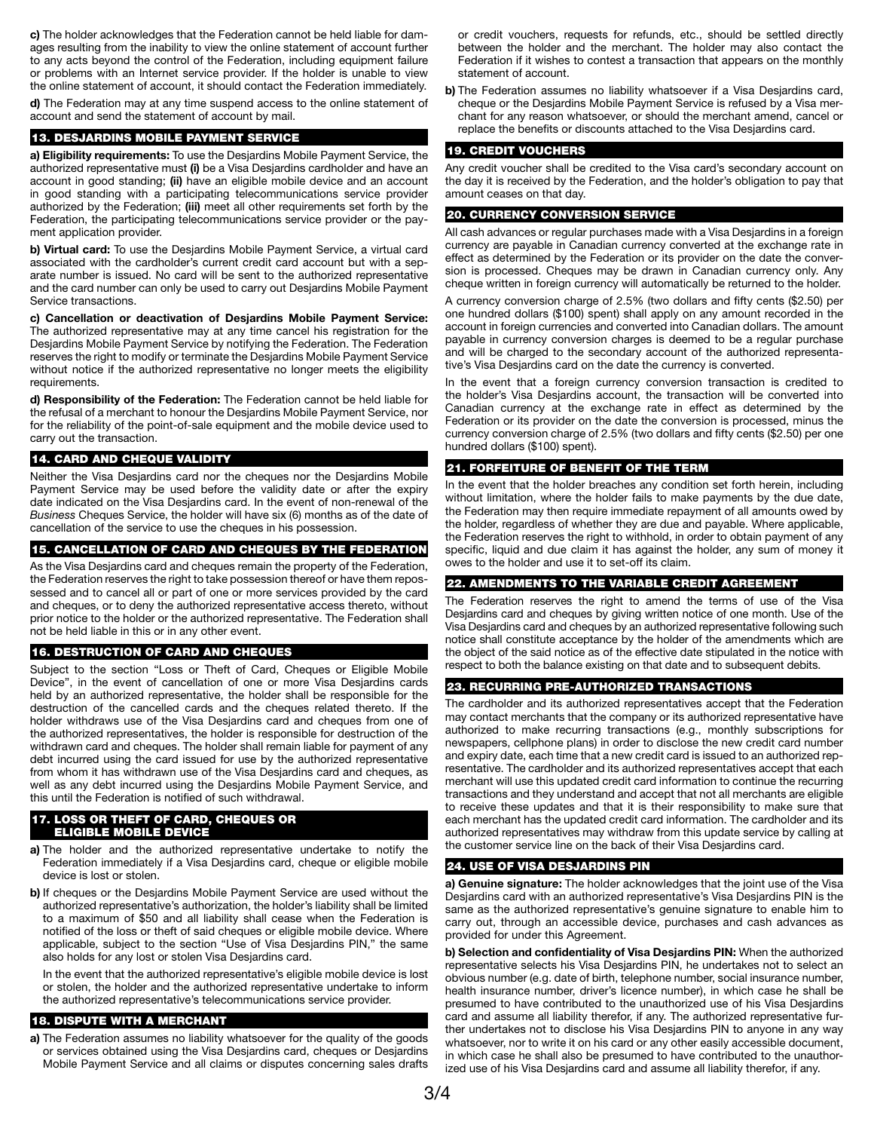**c)** The holder acknowledges that the Federation cannot be held liable for damages resulting from the inability to view the online statement of account further to any acts beyond the control of the Federation, including equipment failure or problems with an Internet service provider. If the holder is unable to view the online statement of account, it should contact the Federation immediately.

**d)** The Federation may at any time suspend access to the online statement of account and send the statement of account by mail.

#### 13. DESJARDINS MOBILE PAYMENT SERVICE

**a) Eligibility requirements:** To use the Desjardins Mobile Payment Service, the authorized representative must **(i)** be a Visa Desjardins cardholder and have an account in good standing; **(ii)** have an eligible mobile device and an account in good standing with a participating telecommunications service provider authorized by the Federation; **(iii)** meet all other requirements set forth by the Federation, the participating telecommunications service provider or the payment application provider.

**b) Virtual card:** To use the Desjardins Mobile Payment Service, a virtual card associated with the cardholder's current credit card account but with a separate number is issued. No card will be sent to the authorized representative and the card number can only be used to carry out Desjardins Mobile Payment Service transactions.

**c) Cancellation or deactivation of Desjardins Mobile Payment Service:** The authorized representative may at any time cancel his registration for the Desjardins Mobile Payment Service by notifying the Federation. The Federation reserves the right to modify or terminate the Desjardins Mobile Payment Service without notice if the authorized representative no longer meets the eligibility requirements.

**d) Responsibility of the Federation:** The Federation cannot be held liable for the refusal of a merchant to honour the Desjardins Mobile Payment Service, nor for the reliability of the point-of-sale equipment and the mobile device used to carry out the transaction.

#### 14. CARD AND CHEQUE VALIDITY

Neither the Visa Desjardins card nor the cheques nor the Desjardins Mobile Payment Service may be used before the validity date or after the expiry date indicated on the Visa Desjardins card. In the event of non-renewal of the *Business* Cheques Service, the holder will have six (6) months as of the date of cancellation of the service to use the cheques in his possession.

#### 15. CANCELLATION OF CARD AND CHEQUES BY THE FEDERATION

As the Visa Desjardins card and cheques remain the property of the Federation, the Federation reserves the right to take possession thereof or have them repossessed and to cancel all or part of one or more services provided by the card and cheques, or to deny the authorized representative access thereto, without prior notice to the holder or the authorized representative. The Federation shall not be held liable in this or in any other event.

### 16. DESTRUCTION OF CARD AND CHEQUES

Subject to the section "Loss or Theft of Card, Cheques or Eligible Mobile Device", in the event of cancellation of one or more Visa Desjardins cards held by an authorized representative, the holder shall be responsible for the destruction of the cancelled cards and the cheques related thereto. If the holder withdraws use of the Visa Desjardins card and cheques from one of the authorized representatives, the holder is responsible for destruction of the withdrawn card and cheques. The holder shall remain liable for payment of any debt incurred using the card issued for use by the authorized representative from whom it has withdrawn use of the Visa Desjardins card and cheques, as well as any debt incurred using the Desjardins Mobile Payment Service, and this until the Federation is notified of such withdrawal.

#### 17. LOSS OR THEFT OF CARD, CHEQUES OR ELIGIBLE MOBILE DEVICE

- **a)** The holder and the authorized representative undertake to notify the Federation immediately if a Visa Desjardins card, cheque or eligible mobile device is lost or stolen.
- **b)** If cheques or the Desjardins Mobile Payment Service are used without the authorized representative's authorization, the holder's liability shall be limited to a maximum of \$50 and all liability shall cease when the Federation is notified of the loss or theft of said cheques or eligible mobile device. Where applicable, subject to the section "Use of Visa Desjardins PIN," the same also holds for any lost or stolen Visa Desjardins card.

 In the event that the authorized representative's eligible mobile device is lost or stolen, the holder and the authorized representative undertake to inform the authorized representative's telecommunications service provider.

### 18. DISPUTE WITH A MERCHANT

**a)** The Federation assumes no liability whatsoever for the quality of the goods or services obtained using the Visa Desjardins card, cheques or Desjardins Mobile Payment Service and all claims or disputes concerning sales drafts or credit vouchers, requests for refunds, etc., should be settled directly between the holder and the merchant. The holder may also contact the Federation if it wishes to contest a transaction that appears on the monthly statement of account.

**b)** The Federation assumes no liability whatsoever if a Visa Desjardins card, cheque or the Desjardins Mobile Payment Service is refused by a Visa merchant for any reason whatsoever, or should the merchant amend, cancel or replace the benefits or discounts attached to the Visa Desjardins card.

#### 19. CREDIT VOUCHERS

Any credit voucher shall be credited to the Visa card's secondary account on the day it is received by the Federation, and the holder's obligation to pay that amount ceases on that day.

### 20. CURRENCY CONVERSION SERVICE

All cash advances or regular purchases made with a Visa Desjardins in a foreign currency are payable in Canadian currency converted at the exchange rate in effect as determined by the Federation or its provider on the date the conversion is processed. Cheques may be drawn in Canadian currency only. Any cheque written in foreign currency will automatically be returned to the holder.

A currency conversion charge of 2.5% (two dollars and fifty cents (\$2.50) per one hundred dollars (\$100) spent) shall apply on any amount recorded in the account in foreign currencies and converted into Canadian dollars. The amount payable in currency conversion charges is deemed to be a regular purchase and will be charged to the secondary account of the authorized representative's Visa Desjardins card on the date the currency is converted.

In the event that a foreign currency conversion transaction is credited to the holder's Visa Desjardins account, the transaction will be converted into Canadian currency at the exchange rate in effect as determined by the Federation or its provider on the date the conversion is processed, minus the currency conversion charge of 2.5% (two dollars and fifty cents (\$2.50) per one hundred dollars (\$100) spent).

#### 21. FORFEITURE OF BENEFIT OF THE TERM

In the event that the holder breaches any condition set forth herein, including without limitation, where the holder fails to make payments by the due date, the Federation may then require immediate repayment of all amounts owed by the holder, regardless of whether they are due and payable. Where applicable, the Federation reserves the right to withhold, in order to obtain payment of any specific, liquid and due claim it has against the holder, any sum of money it owes to the holder and use it to set-off its claim.

### 22. AMENDMENTS TO THE VARIABLE CREDIT AGREEMENT

The Federation reserves the right to amend the terms of use of the Visa Desjardins card and cheques by giving written notice of one month. Use of the Visa Desjardins card and cheques by an authorized representative following such notice shall constitute acceptance by the holder of the amendments which are the object of the said notice as of the effective date stipulated in the notice with respect to both the balance existing on that date and to subsequent debits.

## 23. RECURRING PRE-AUTHORIZED TRANSACTIONS

The cardholder and its authorized representatives accept that the Federation may contact merchants that the company or its authorized representative have authorized to make recurring transactions (e.g., monthly subscriptions for newspapers, cellphone plans) in order to disclose the new credit card number and expiry date, each time that a new credit card is issued to an authorized representative. The cardholder and its authorized representatives accept that each merchant will use this updated credit card information to continue the recurring transactions and they understand and accept that not all merchants are eligible to receive these updates and that it is their responsibility to make sure that each merchant has the updated credit card information. The cardholder and its authorized representatives may withdraw from this update service by calling at the customer service line on the back of their Visa Desjardins card.

#### 24. USE OF VISA DESJARDINS PIN

**a) Genuine signature:** The holder acknowledges that the joint use of the Visa Desjardins card with an authorized representative's Visa Desjardins PIN is the same as the authorized representative's genuine signature to enable him to carry out, through an accessible device, purchases and cash advances as provided for under this Agreement.

**b) Selection and confidentiality of Visa Desjardins PIN:** When the authorized representative selects his Visa Desjardins PIN, he undertakes not to select an obvious number (e.g. date of birth, telephone number, social insurance number, health insurance number, driver's licence number), in which case he shall be presumed to have contributed to the unauthorized use of his Visa Desjardins card and assume all liability therefor, if any. The authorized representative further undertakes not to disclose his Visa Desjardins PIN to anyone in any way whatsoever, nor to write it on his card or any other easily accessible document, in which case he shall also be presumed to have contributed to the unauthorized use of his Visa Desjardins card and assume all liability therefor, if any.